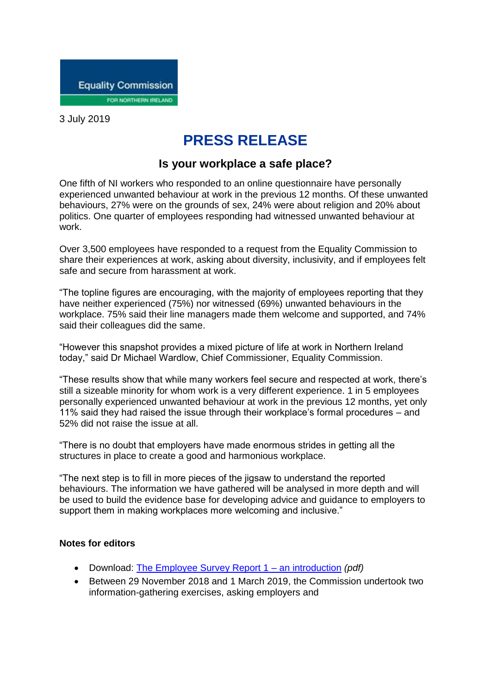

3 July 2019

## **PRESS RELEASE**

## **Is your workplace a safe place?**

One fifth of NI workers who responded to an online questionnaire have personally experienced unwanted behaviour at work in the previous 12 months. Of these unwanted behaviours, 27% were on the grounds of sex, 24% were about religion and 20% about politics. One quarter of employees responding had witnessed unwanted behaviour at work.

Over 3,500 employees have responded to a request from the Equality Commission to share their experiences at work, asking about diversity, inclusivity, and if employees felt safe and secure from harassment at work.

"The topline figures are encouraging, with the majority of employees reporting that they have neither experienced (75%) nor witnessed (69%) unwanted behaviours in the workplace. 75% said their line managers made them welcome and supported, and 74% said their colleagues did the same.

"However this snapshot provides a mixed picture of life at work in Northern Ireland today," said Dr Michael Wardlow, Chief Commissioner, Equality Commission.

"These results show that while many workers feel secure and respected at work, there's still a sizeable minority for whom work is a very different experience. 1 in 5 employees personally experienced unwanted behaviour at work in the previous 12 months, yet only 11% said they had raised the issue through their workplace's formal procedures – and 52% did not raise the issue at all.

"There is no doubt that employers have made enormous strides in getting all the structures in place to create a good and harmonious workplace.

"The next step is to fill in more pieces of the jigsaw to understand the reported behaviours. The information we have gathered will be analysed in more depth and will be used to build the evidence base for developing advice and guidance to employers to support them in making workplaces more welcoming and inclusive."

## **Notes for editors**

- Download: [The Employee Survey Report 1 –](https://www.equalityni.org/ECNI/media/ECNI/Publications/Delivering%20Equality/WorkplaceEmployeeSurvey-Part1Intro.pdf) an introduction *(pdf)*
- Between 29 November 2018 and 1 March 2019, the Commission undertook two information-gathering exercises, asking employers and